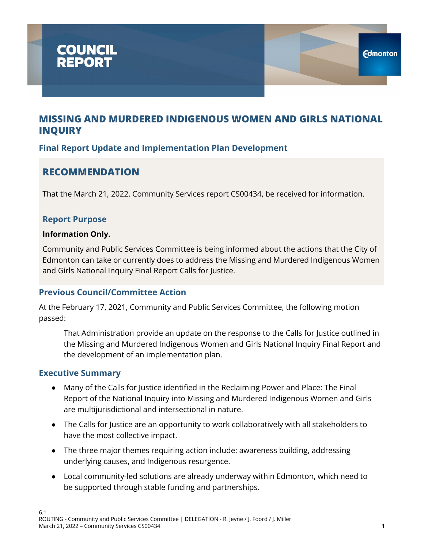

### **Final Report Update and Implementation Plan Development**

## **RECOMMENDATION**

That the March 21, 2022, Community Services report CS00434, be received for information.

### **Report Purpose**

#### **Information Only.**

Community and Public Services Committee is being informed about the actions that the City of Edmonton can take or currently does to address the Missing and Murdered Indigenous Women and Girls National Inquiry Final Report Calls for Justice.

### **Previous Council/Committee Action**

At the February 17, 2021, Community and Public Services Committee, the following motion passed:

That Administration provide an update on the response to the Calls for Justice outlined in the Missing and Murdered Indigenous Women and Girls National Inquiry Final Report and the development of an implementation plan.

#### **Executive Summary**

- Many of the Calls for Justice identified in the Reclaiming Power and Place: The Final Report of the National Inquiry into Missing and Murdered Indigenous Women and Girls are multijurisdictional and intersectional in nature.
- The Calls for Justice are an opportunity to work collaboratively with all stakeholders to have the most collective impact.
- The three major themes requiring action include: awareness building, addressing underlying causes, and Indigenous resurgence.
- Local community-led solutions are already underway within Edmonton, which need to be supported through stable funding and partnerships.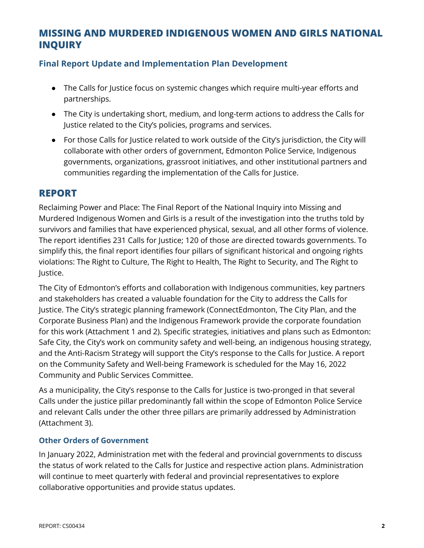### **Final Report Update and Implementation Plan Development**

- The Calls for Justice focus on systemic changes which require multi-year efforts and partnerships.
- The City is undertaking short, medium, and long-term actions to address the Calls for Justice related to the City's policies, programs and services.
- For those Calls for Justice related to work outside of the City's jurisdiction, the City will collaborate with other orders of government, Edmonton Police Service, Indigenous governments, organizations, grassroot initiatives, and other institutional partners and communities regarding the implementation of the Calls for Justice.

### **REPORT**

Reclaiming Power and Place: The Final Report of the National Inquiry into Missing and Murdered Indigenous Women and Girls is a result of the investigation into the truths told by survivors and families that have experienced physical, sexual, and all other forms of violence. The report identifies 231 Calls for Justice; 120 of those are directed towards governments. To simplify this, the final report identifies four pillars of significant historical and ongoing rights violations: The Right to Culture, The Right to Health, The Right to Security, and The Right to Justice.

The City of Edmonton's efforts and collaboration with Indigenous communities, key partners and stakeholders has created a valuable foundation for the City to address the Calls for Justice. The City's strategic planning framework (ConnectEdmonton, The City Plan, and the Corporate Business Plan) and the Indigenous Framework provide the corporate foundation for this work (Attachment 1 and 2). Specific strategies, initiatives and plans such as Edmonton: Safe City, the City's work on community safety and well-being, an indigenous housing strategy, and the Anti-Racism Strategy will support the City's response to the Calls for Justice. A report on the Community Safety and Well-being Framework is scheduled for the May 16, 2022 Community and Public Services Committee.

As a municipality, the City's response to the Calls for Justice is two-pronged in that several Calls under the justice pillar predominantly fall within the scope of Edmonton Police Service and relevant Calls under the other three pillars are primarily addressed by Administration (Attachment 3).

#### **Other Orders of Government**

In January 2022, Administration met with the federal and provincial governments to discuss the status of work related to the Calls for Justice and respective action plans. Administration will continue to meet quarterly with federal and provincial representatives to explore collaborative opportunities and provide status updates.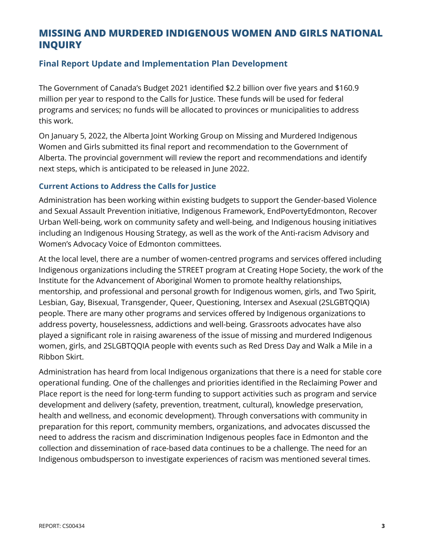### **Final Report Update and Implementation Plan Development**

The Government of Canada's Budget 2021 identified \$2.2 billion over five years and \$160.9 million per year to respond to the Calls for Justice. These funds will be used for federal programs and services; no funds will be allocated to provinces or municipalities to address this work.

On January 5, 2022, the Alberta Joint Working Group on Missing and Murdered Indigenous Women and Girls submitted its final report and recommendation to the Government of Alberta. The provincial government will review the report and recommendations and identify next steps, which is anticipated to be released in June 2022.

#### **Current Actions to Address the Calls for Justice**

Administration has been working within existing budgets to support the Gender-based Violence and Sexual Assault Prevention initiative, Indigenous Framework, EndPovertyEdmonton, Recover Urban Well-being, work on community safety and well-being, and Indigenous housing initiatives including an Indigenous Housing Strategy, as well as the work of the Anti-racism Advisory and Women's Advocacy Voice of Edmonton committees.

At the local level, there are a number of women-centred programs and services offered including Indigenous organizations including the STREET program at Creating Hope Society, the work of the Institute for the Advancement of Aboriginal Women to promote healthy relationships, mentorship, and professional and personal growth for Indigenous women, girls, and Two Spirit, Lesbian, Gay, Bisexual, Transgender, Queer, Questioning, Intersex and Asexual (2SLGBTQQIA) people. There are many other programs and services offered by Indigenous organizations to address poverty, houselessness, addictions and well-being. Grassroots advocates have also played a significant role in raising awareness of the issue of missing and murdered Indigenous women, girls, and 2SLGBTQQIA people with events such as Red Dress Day and Walk a Mile in a Ribbon Skirt.

Administration has heard from local Indigenous organizations that there is a need for stable core operational funding. One of the challenges and priorities identified in the Reclaiming Power and Place report is the need for long-term funding to support activities such as program and service development and delivery (safety, prevention, treatment, cultural), knowledge preservation, health and wellness, and economic development). Through conversations with community in preparation for this report, community members, organizations, and advocates discussed the need to address the racism and discrimination Indigenous peoples face in Edmonton and the collection and dissemination of race-based data continues to be a challenge. The need for an Indigenous ombudsperson to investigate experiences of racism was mentioned several times.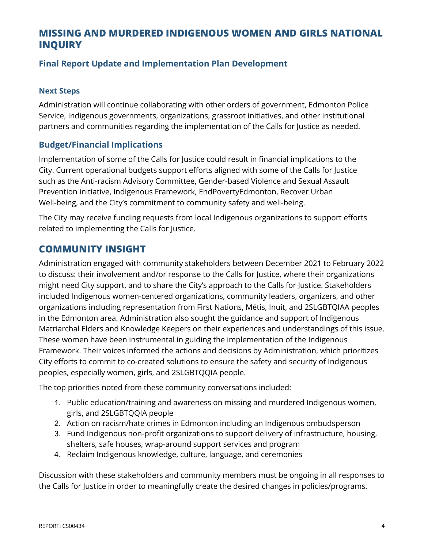### **Final Report Update and Implementation Plan Development**

#### **Next Steps**

Administration will continue collaborating with other orders of government, Edmonton Police Service, Indigenous governments, organizations, grassroot initiatives, and other institutional partners and communities regarding the implementation of the Calls for Justice as needed.

#### **Budget/Financial Implications**

Implementation of some of the Calls for Justice could result in financial implications to the City. Current operational budgets support efforts aligned with some of the Calls for Justice such as the Anti-racism Advisory Committee, Gender-based Violence and Sexual Assault Prevention initiative, Indigenous Framework, EndPovertyEdmonton, Recover Urban Well-being, and the City's commitment to community safety and well-being.

The City may receive funding requests from local Indigenous organizations to support efforts related to implementing the Calls for Justice.

### **COMMUNITY INSIGHT**

Administration engaged with community stakeholders between December 2021 to February 2022 to discuss: their involvement and/or response to the Calls for Justice, where their organizations might need City support, and to share the City's approach to the Calls for Justice. Stakeholders included Indigenous women-centered organizations, community leaders, organizers, and other organizations including representation from First Nations, Métis, Inuit, and 2SLGBTQIAA peoples in the Edmonton area. Administration also sought the guidance and support of Indigenous Matriarchal Elders and Knowledge Keepers on their experiences and understandings of this issue. These women have been instrumental in guiding the implementation of the Indigenous Framework. Their voices informed the actions and decisions by Administration, which prioritizes City efforts to commit to co-created solutions to ensure the safety and security of Indigenous peoples, especially women, girls, and 2SLGBTQQIA people.

The top priorities noted from these community conversations included:

- 1. Public education/training and awareness on missing and murdered Indigenous women, girls, and 2SLGBTQQIA people
- 2. Action on racism/hate crimes in Edmonton including an Indigenous ombudsperson
- 3. Fund Indigenous non-profit organizations to support delivery of infrastructure, housing, shelters, safe houses, wrap-around support services and program
- 4. Reclaim Indigenous knowledge, culture, language, and ceremonies

Discussion with these stakeholders and community members must be ongoing in all responses to the Calls for Justice in order to meaningfully create the desired changes in policies/programs.